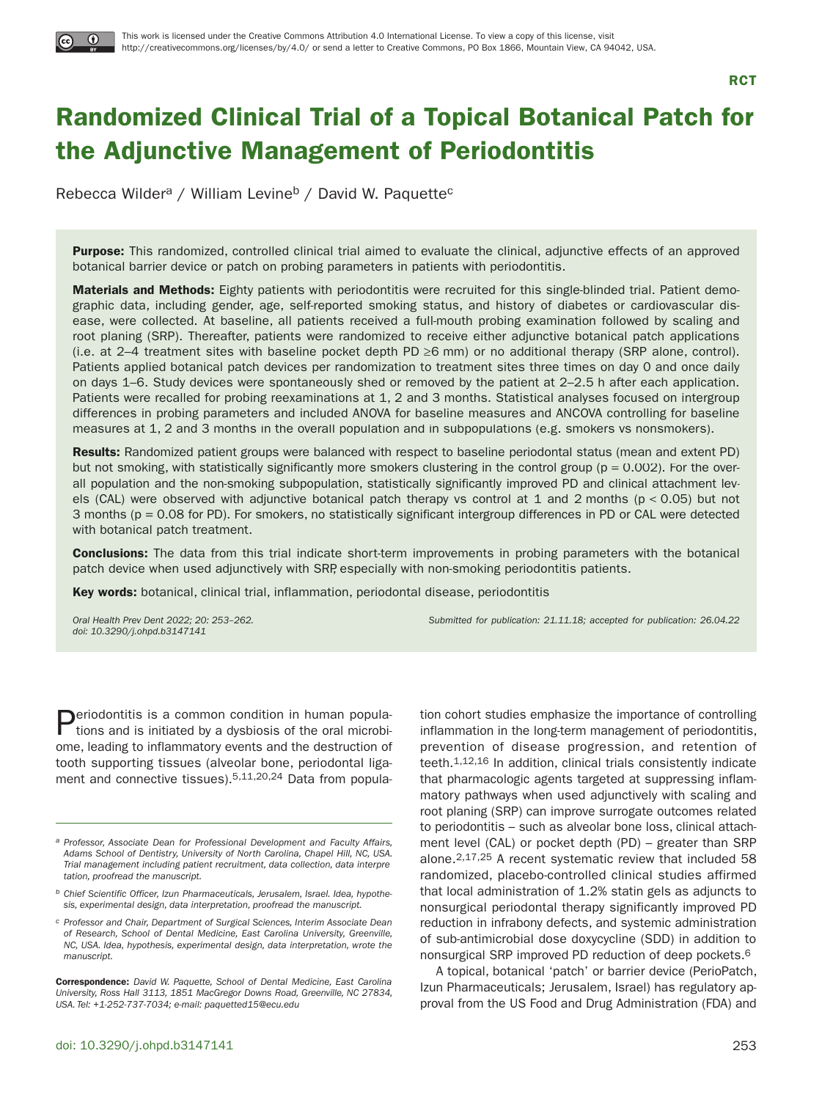

**RCT**

# **Randomized Clinical Trial of a Topical Botanical Patch for the Adjunctive Management of Periodontitis**

Rebecca Wilder<sup>a</sup> / William Levine<sup>b</sup> / David W. Paquette<sup>c</sup>

**Purpose:** This randomized, controlled clinical trial aimed to evaluate the clinical, adjunctive effects of an approved botanical barrier device or patch on probing parameters in patients with periodontitis.

**Materials and Methods:** Eighty patients with periodontitis were recruited for this single-blinded trial. Patient demographic data, including gender, age, self-reported smoking status, and history of diabetes or cardiovascular disease, were collected. At baseline, all patients received a full-mouth probing examination followed by scaling and root planing (SRP). Thereafter, patients were randomized to receive either adjunctive botanical patch applications (i.e. at 2–4 treatment sites with baseline pocket depth PD  $\geq$ 6 mm) or no additional therapy (SRP alone, control). Patients applied botanical patch devices per randomization to treatment sites three times on day 0 and once daily on days 1–6. Study devices were spontaneously shed or removed by the patient at 2–2.5 h after each application. Patients were recalled for probing reexaminations at 1, 2 and 3 months. Statistical analyses focused on intergroup differences in probing parameters and included ANOVA for baseline measures and ANCOVA controlling for baseline measures at 1, 2 and 3 months in the overall population and in subpopulations (e.g. smokers vs nonsmokers).

**Results:** Randomized patient groups were balanced with respect to baseline periodontal status (mean and extent PD) but not smoking, with statistically significantly more smokers clustering in the control group ( $p = 0.002$ ). For the overall population and the non-smoking subpopulation, statistically significantly improved PD and clinical attachment levels (CAL) were observed with adjunctive botanical patch therapy vs control at 1 and 2 months (p < 0.05) but not 3 months (p = 0.08 for PD). For smokers, no statistically significant intergroup differences in PD or CAL were detected with botanical patch treatment.

**Conclusions:** The data from this trial indicate short-term improvements in probing parameters with the botanical patch device when used adjunctively with SRP, especially with non-smoking periodontitis patients.

**Key words:** botanical, clinical trial, inflammation, periodontal disease, periodontitis

doi: 10.3290/j.ohpd.b3147141

Oral Health Prev Dent 2022; 20: 253–262. Submitted for publication: 21.11.18; accepted for publication: 26.04.22

**Deriodontitis is a common condition in human popula**tions and is initiated by a dysbiosis of the oral microbiome, leading to inflammatory events and the destruction of tooth supporting tissues (alveolar bone, periodontal ligament and connective tissues).5,11,20,24 Data from popula-

**b** Chief Scientific Officer, Izun Pharmaceuticals, Jerusalem, Israel. Idea, hypothesis, experimental design, data interpretation, proofread the manuscript.

tion cohort studies emphasize the importance of controlling inflammation in the long-term management of periodontitis, prevention of disease progression, and retention of teeth.1,12,16 In addition, clinical trials consistently indicate that pharmacologic agents targeted at suppressing inflammatory pathways when used adjunctively with scaling and root planing (SRP) can improve surrogate outcomes related to periodontitis – such as alveolar bone loss, clinical attachment level (CAL) or pocket depth (PD) – greater than SRP alone.2,17,25 A recent systematic review that included 58 randomized, placebo-controlled clinical studies affirmed that local administration of 1.2% statin gels as adjuncts to nonsurgical periodontal therapy significantly improved PD reduction in infrabony defects, and systemic administration of sub-antimicrobial dose doxycycline (SDD) in addition to nonsurgical SRP improved PD reduction of deep pockets.6

A topical, botanical 'patch' or barrier device (PerioPatch, Izun Pharmaceuticals; Jerusalem, Israel) has regulatory approval from the US Food and Drug Administration (FDA) and

a Professor, Associate Dean for Professional Development and Faculty Affairs, Adams School of Dentistry, University of North Carolina, Chapel Hill, NC, USA. Trial management including patient recruitment, data collection, data interpretation, proofread the manuscript.

c Professor and Chair, Department of Surgical Sciences, Interim Associate Dean of Research, School of Dental Medicine, East Carolina University, Greenville, NC, USA. Idea, hypothesis, experimental design, data interpretation, wrote the manuscript.

**Correspondence:** David W. Paquette, School of Dental Medicine, East Carolina University, Ross Hall 3113, 1851 MacGregor Downs Road, Greenville, NC 27834, USA. Tel: +1-252-737-7034; e-mail: paquetted15@ecu.edu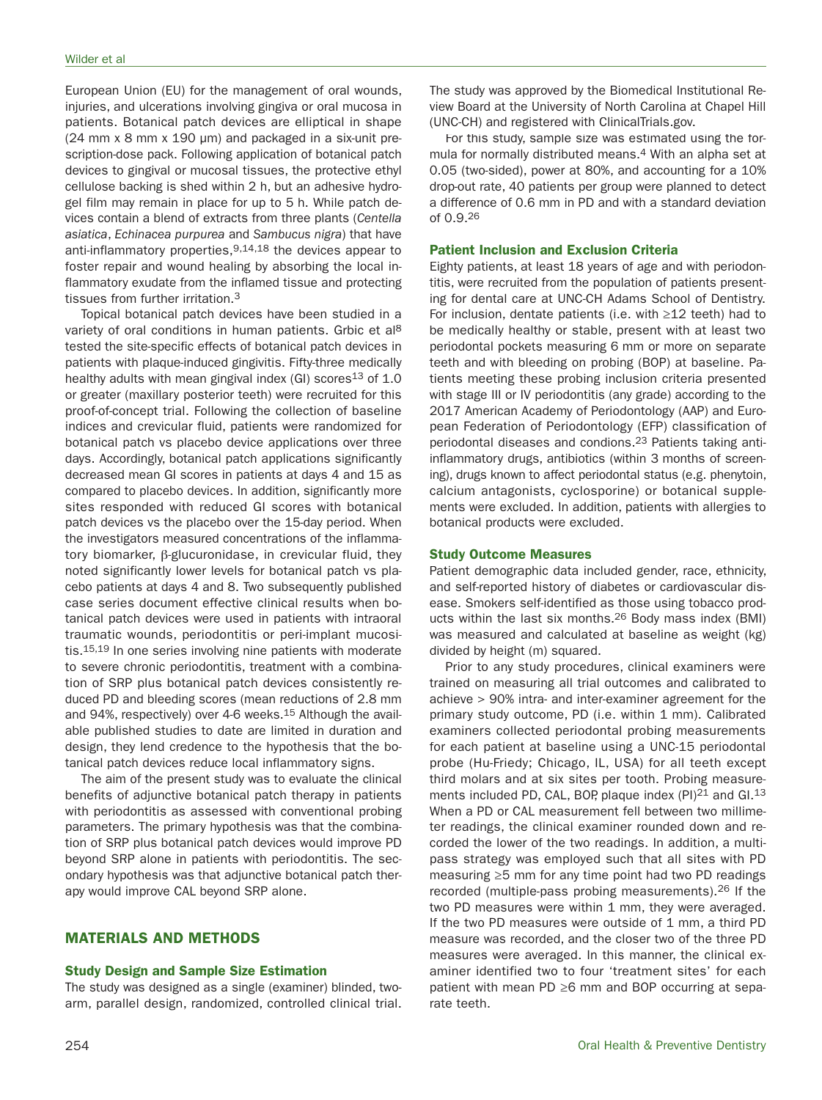European Union (EU) for the management of oral wounds, injuries, and ulcerations involving gingiva or oral mucosa in patients. Botanical patch devices are elliptical in shape  $(24 \text{ mm} \times 8 \text{ mm} \times 190 \text{ \mu m})$  and packaged in a six-unit prescription-dose pack. Following application of botanical patch devices to gingival or mucosal tissues, the protective ethyl cellulose backing is shed within 2 h, but an adhesive hydrogel film may remain in place for up to 5 h. While patch devices contain a blend of extracts from three plants (Centella asiatica, Echinacea purpurea and Sambucus nigra) that have anti-inflammatory properties,9,14,18 the devices appear to foster repair and wound healing by absorbing the local inflammatory exudate from the inflamed tissue and protecting tissues from further irritation.3

Topical botanical patch devices have been studied in a variety of oral conditions in human patients. Grbic et al<sup>8</sup> tested the site-specific effects of botanical patch devices in patients with plaque-induced gingivitis. Fifty-three medically healthy adults with mean gingival index (GI) scores<sup>13</sup> of  $1.0$ or greater (maxillary posterior teeth) were recruited for this proof-of-concept trial. Following the collection of baseline indices and crevicular fluid, patients were randomized for botanical patch vs placebo device applications over three days. Accordingly, botanical patch applications significantly decreased mean GI scores in patients at days 4 and 15 as compared to placebo devices. In addition, significantly more sites responded with reduced GI scores with botanical patch devices vs the placebo over the 15-day period. When the investigators measured concentrations of the inflammatory biomarker,  $\beta$ -glucuronidase, in crevicular fluid, they noted significantly lower levels for botanical patch vs placebo patients at days 4 and 8. Two subsequently published case series document effective clinical results when botanical patch devices were used in patients with intraoral traumatic wounds, periodontitis or peri-implant mucositis.15,19 In one series involving nine patients with moderate to severe chronic periodontitis, treatment with a combination of SRP plus botanical patch devices consistently reduced PD and bleeding scores (mean reductions of 2.8 mm and 94%, respectively) over 4-6 weeks.<sup>15</sup> Although the available published studies to date are limited in duration and design, they lend credence to the hypothesis that the botanical patch devices reduce local inflammatory signs.

The aim of the present study was to evaluate the clinical benefits of adjunctive botanical patch therapy in patients with periodontitis as assessed with conventional probing parameters. The primary hypothesis was that the combination of SRP plus botanical patch devices would improve PD beyond SRP alone in patients with periodontitis. The secondary hypothesis was that adjunctive botanical patch therapy would improve CAL beyond SRP alone.

# **MATERIALS AND METHODS**

#### **Study Design and Sample Size Estimation**

The study was designed as a single (examiner) blinded, twoarm, parallel design, randomized, controlled clinical trial. The study was approved by the Biomedical Institutional Review Board at the University of North Carolina at Chapel Hill (UNC-CH) and registered with ClinicalTrials.gov.

For this study, sample size was estimated using the formula for normally distributed means.<sup>4</sup> With an alpha set at 0.05 (two-sided), power at 80%, and accounting for a 10% drop-out rate, 40 patients per group were planned to detect a difference of 0.6 mm in PD and with a standard deviation of 0.9.26

## **Patient Inclusion and Exclusion Criteria**

Eighty patients, at least 18 years of age and with periodontitis, were recruited from the population of patients presenting for dental care at UNC-CH Adams School of Dentistry. For inclusion, dentate patients (i.e. with ≥12 teeth) had to be medically healthy or stable, present with at least two periodontal pockets measuring 6 mm or more on separate teeth and with bleeding on probing (BOP) at baseline. Patients meeting these probing inclusion criteria presented with stage III or IV periodontitis (any grade) according to the 2017 American Academy of Periodontology (AAP) and European Federation of Periodontology (EFP) classification of periodontal diseases and condions.23 Patients taking antiinflammatory drugs, antibiotics (within 3 months of screening), drugs known to affect periodontal status (e.g. phenytoin, calcium antagonists, cyclosporine) or botanical supplements were excluded. In addition, patients with allergies to botanical products were excluded.

#### **Study Outcome Measures**

Patient demographic data included gender, race, ethnicity, and self-reported history of diabetes or cardiovascular disease. Smokers self-identified as those using tobacco products within the last six months.26 Body mass index (BMI) was measured and calculated at baseline as weight (kg) divided by height (m) squared.

Prior to any study procedures, clinical examiners were trained on measuring all trial outcomes and calibrated to achieve > 90% intra- and inter-examiner agreement for the primary study outcome, PD (i.e. within 1 mm). Calibrated examiners collected periodontal probing measurements for each patient at baseline using a UNC-15 periodontal probe (Hu-Friedy; Chicago, IL, USA) for all teeth except third molars and at six sites per tooth. Probing measurements included PD, CAL, BOP, plaque index  $(PI)^{21}$  and GI.<sup>13</sup> When a PD or CAL measurement fell between two millimeter readings, the clinical examiner rounded down and recorded the lower of the two readings. In addition, a multipass strategy was employed such that all sites with PD measuring ≥5 mm for any time point had two PD readings recorded (multiple-pass probing measurements).26 If the two PD measures were within 1 mm, they were averaged. If the two PD measures were outside of 1 mm, a third PD measure was recorded, and the closer two of the three PD measures were averaged. In this manner, the clinical examiner identified two to four 'treatment sites' for each patient with mean PD ≥6 mm and BOP occurring at separate teeth.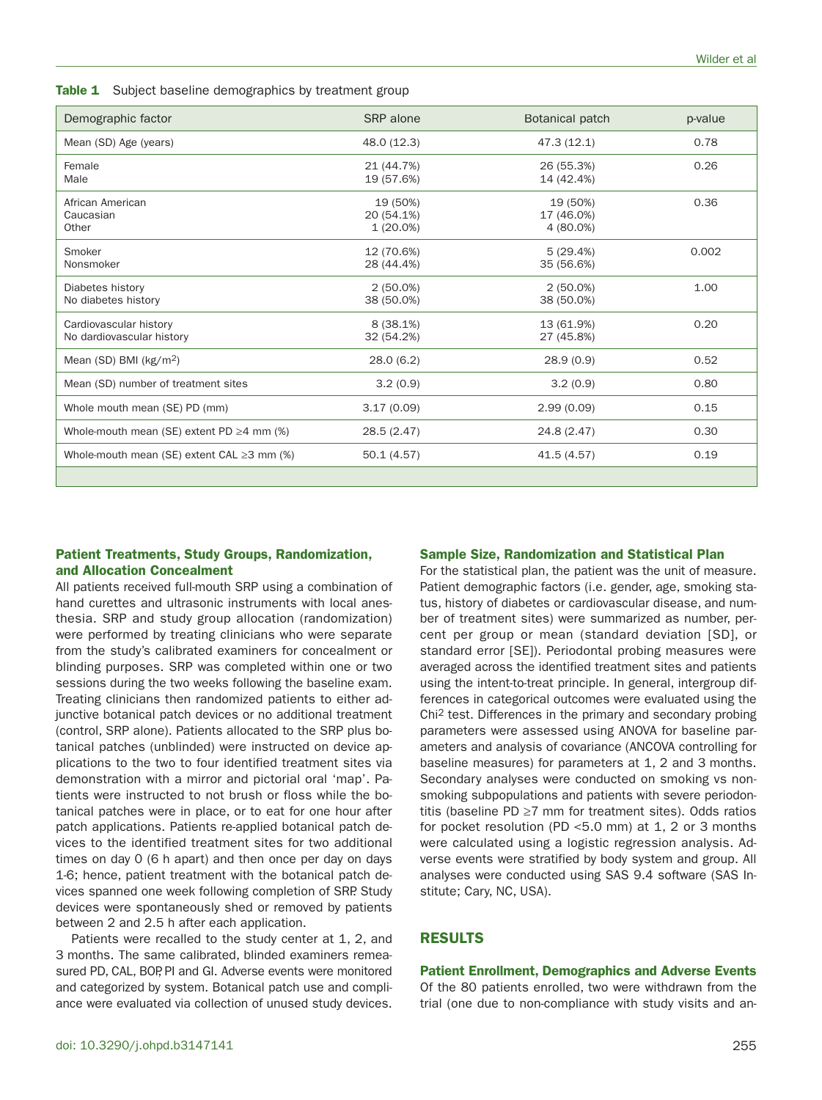**Table 1** Subject baseline demographics by treatment group

| Demographic factor                                  | SRP alone                             | Botanical patch                     | p-value |
|-----------------------------------------------------|---------------------------------------|-------------------------------------|---------|
| Mean (SD) Age (years)                               | 48.0 (12.3)                           | 47.3(12.1)                          | 0.78    |
| Female<br>Male                                      | 21 (44.7%)<br>19 (57.6%)              | 26 (55.3%)<br>14 (42.4%)            | 0.26    |
| African American<br>Caucasian<br>Other              | 19 (50%)<br>20 (54.1%)<br>$1(20.0\%)$ | 19 (50%)<br>17 (46.0%)<br>4 (80.0%) | 0.36    |
| Smoker<br>Nonsmoker                                 | 12 (70.6%)<br>28 (44.4%)              | 5(29.4%)<br>35 (56.6%)              | 0.002   |
| Diabetes history<br>No diabetes history             | $2(50.0\%)$<br>38 (50.0%)             | $2(50.0\%)$<br>38 (50.0%)           | 1.00    |
| Cardiovascular history<br>No dardiovascular history | 8 (38.1%)<br>32 (54.2%)               | 13 (61.9%)<br>27 (45.8%)            | 0.20    |
| Mean $(SD)$ BMI $(kg/m2)$                           | 28.0(6.2)                             | 28.9(0.9)                           | 0.52    |
| Mean (SD) number of treatment sites                 | 3.2(0.9)                              | 3.2(0.9)                            | 0.80    |
| Whole mouth mean (SE) PD (mm)                       | 3.17(0.09)                            | 2.99(0.09)                          | 0.15    |
| Whole-mouth mean (SE) extent PD $\geq$ 4 mm (%)     | 28.5(2.47)                            | 24.8 (2.47)                         | 0.30    |
| Whole-mouth mean (SE) extent CAL $\geq$ 3 mm (%)    | 50.1(4.57)                            | 41.5 (4.57)                         | 0.19    |
|                                                     |                                       |                                     |         |

# **Patient Treatments, Study Groups, Randomization, and Allocation Concealment**

#### **Sample Size, Randomization and Statistical Plan**

All patients received full-mouth SRP using a combination of hand curettes and ultrasonic instruments with local anesthesia. SRP and study group allocation (randomization) were performed by treating clinicians who were separate from the study's calibrated examiners for concealment or blinding purposes. SRP was completed within one or two sessions during the two weeks following the baseline exam. Treating clinicians then randomized patients to either adjunctive botanical patch devices or no additional treatment (control, SRP alone). Patients allocated to the SRP plus botanical patches (unblinded) were instructed on device applications to the two to four identified treatment sites via demonstration with a mirror and pictorial oral 'map'. Patients were instructed to not brush or floss while the botanical patches were in place, or to eat for one hour after patch applications. Patients re-applied botanical patch devices to the identified treatment sites for two additional times on day 0 (6 h apart) and then once per day on days 1-6; hence, patient treatment with the botanical patch devices spanned one week following completion of SRP. Study devices were spontaneously shed or removed by patients between 2 and 2.5 h after each application.

Patients were recalled to the study center at 1, 2, and 3 months. The same calibrated, blinded examiners remeasured PD, CAL, BOP, PI and GI. Adverse events were monitored and categorized by system. Botanical patch use and compliance were evaluated via collection of unused study devices.

For the statistical plan, the patient was the unit of measure. Patient demographic factors (i.e. gender, age, smoking status, history of diabetes or cardiovascular disease, and number of treatment sites) were summarized as number, percent per group or mean (standard deviation [SD], or standard error [SE]). Periodontal probing measures were averaged across the identified treatment sites and patients using the intent-to-treat principle. In general, intergroup differences in categorical outcomes were evaluated using the Chi 2 test. Differences in the primary and secondary probing parameters were assessed using ANOVA for baseline parameters and analysis of covariance (ANCOVA controlling for baseline measures) for parameters at 1, 2 and 3 months. Secondary analyses were conducted on smoking vs nonsmoking subpopulations and patients with severe periodontitis (baseline PD ≥7 mm for treatment sites). Odds ratios for pocket resolution (PD <5.0 mm) at 1, 2 or 3 months were calculated using a logistic regression analysis. Adverse events were stratified by body system and group. All analyses were conducted using SAS 9.4 software (SAS Institute; Cary, NC, USA).

# **RESULTS**

#### **Patient Enrollment, Demographics and Adverse Events**

Of the 80 patients enrolled, two were withdrawn from the trial (one due to non-compliance with study visits and an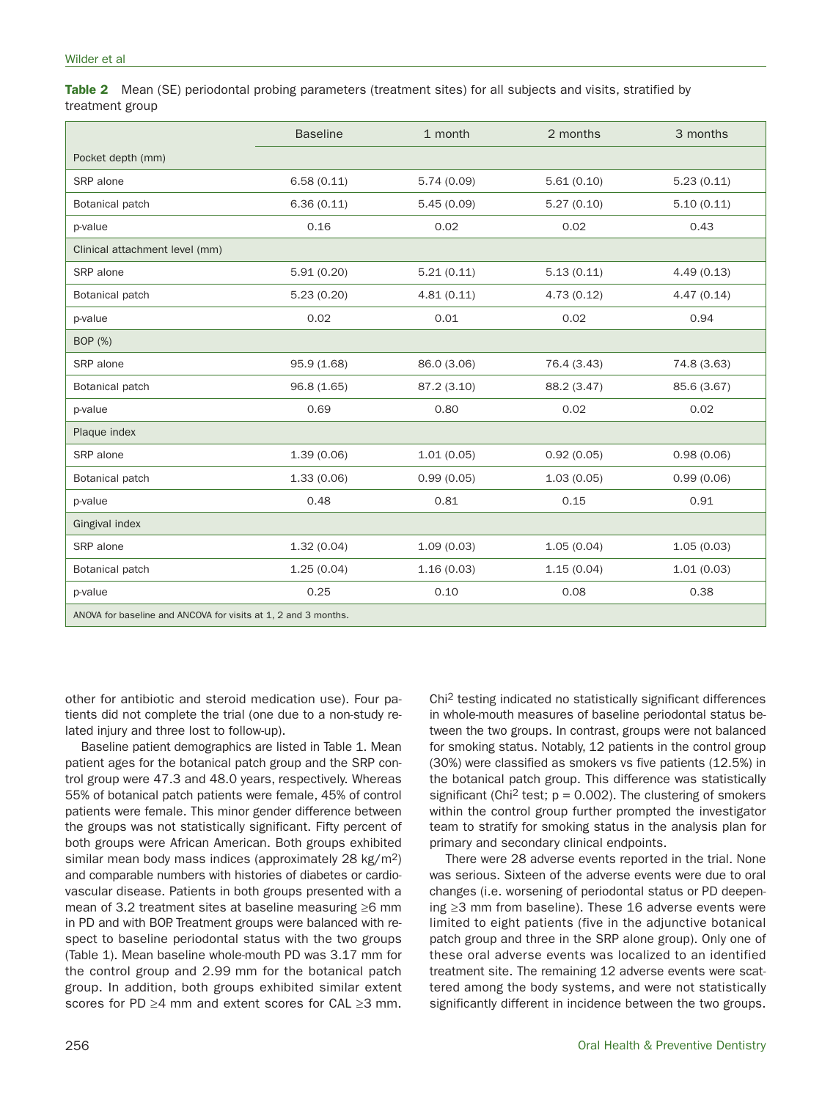**Table 2** Mean (SE) periodontal probing parameters (treatment sites) for all subjects and visits, stratified by treatment group

|                                                                | <b>Baseline</b> | 1 month     | 2 months    | 3 months    |
|----------------------------------------------------------------|-----------------|-------------|-------------|-------------|
| Pocket depth (mm)                                              |                 |             |             |             |
| SRP alone                                                      | 6.58(0.11)      | 5.74(0.09)  | 5.61(0.10)  | 5.23(0.11)  |
| Botanical patch                                                | 6.36(0.11)      | 5.45(0.09)  | 5.27(0.10)  | 5.10(0.11)  |
| p-value                                                        | 0.16            | 0.02        | 0.02        | 0.43        |
| Clinical attachment level (mm)                                 |                 |             |             |             |
| SRP alone                                                      | 5.91(0.20)      | 5.21(0.11)  | 5.13(0.11)  | 4.49(0.13)  |
| Botanical patch                                                | 5.23(0.20)      | 4.81(0.11)  | 4.73(0.12)  | 4.47(0.14)  |
| p-value                                                        | 0.02            | 0.01        | 0.02        | 0.94        |
| BOP (%)                                                        |                 |             |             |             |
| SRP alone                                                      | 95.9 (1.68)     | 86.0 (3.06) | 76.4 (3.43) | 74.8 (3.63) |
| Botanical patch                                                | 96.8 (1.65)     | 87.2 (3.10) | 88.2 (3.47) | 85.6 (3.67) |
| p-value                                                        | 0.69            | 0.80        | 0.02        | 0.02        |
| Plaque index                                                   |                 |             |             |             |
| SRP alone                                                      | 1.39(0.06)      | 1.01(0.05)  | 0.92(0.05)  | 0.98(0.06)  |
| Botanical patch                                                | 1.33(0.06)      | 0.99(0.05)  | 1.03(0.05)  | 0.99(0.06)  |
| p-value                                                        | 0.48            | 0.81        | 0.15        | 0.91        |
| Gingival index                                                 |                 |             |             |             |
| SRP alone                                                      | 1.32(0.04)      | 1.09(0.03)  | 1.05(0.04)  | 1.05(0.03)  |
| Botanical patch                                                | 1.25(0.04)      | 1.16(0.03)  | 1.15(0.04)  | 1.01(0.03)  |
| p-value                                                        | 0.25            | 0.10        | 0.08        | 0.38        |
| ANOVA for baseline and ANCOVA for visits at 1, 2 and 3 months. |                 |             |             |             |

other for antibiotic and steroid medication use). Four patients did not complete the trial (one due to a non-study related injury and three lost to follow-up).

Baseline patient demographics are listed in Table 1. Mean patient ages for the botanical patch group and the SRP control group were 47.3 and 48.0 years, respectively. Whereas 55% of botanical patch patients were female, 45% of control patients were female. This minor gender difference between the groups was not statistically significant. Fifty percent of both groups were African American. Both groups exhibited similar mean body mass indices (approximately 28 kg/m<sup>2</sup>) and comparable numbers with histories of diabetes or cardiovascular disease. Patients in both groups presented with a mean of 3.2 treatment sites at baseline measuring ≥6 mm in PD and with BOP. Treatment groups were balanced with respect to baseline periodontal status with the two groups (Table 1). Mean baseline whole-mouth PD was 3.17 mm for the control group and 2.99 mm for the botanical patch group. In addition, both groups exhibited similar extent scores for PD ≥4 mm and extent scores for CAL ≥3 mm. Chi2 testing indicated no statistically significant differences in whole-mouth measures of baseline periodontal status between the two groups. In contrast, groups were not balanced for smoking status. Notably, 12 patients in the control group (30%) were classified as smokers vs five patients (12.5%) in the botanical patch group. This difference was statistically significant (Chi<sup>2</sup> test;  $p = 0.002$ ). The clustering of smokers within the control group further prompted the investigator team to stratify for smoking status in the analysis plan for primary and secondary clinical endpoints.

There were 28 adverse events reported in the trial. None was serious. Sixteen of the adverse events were due to oral changes (i.e. worsening of periodontal status or PD deepening ≥3 mm from baseline). These 16 adverse events were limited to eight patients (five in the adjunctive botanical patch group and three in the SRP alone group). Only one of these oral adverse events was localized to an identified treatment site. The remaining 12 adverse events were scattered among the body systems, and were not statistically significantly different in incidence between the two groups.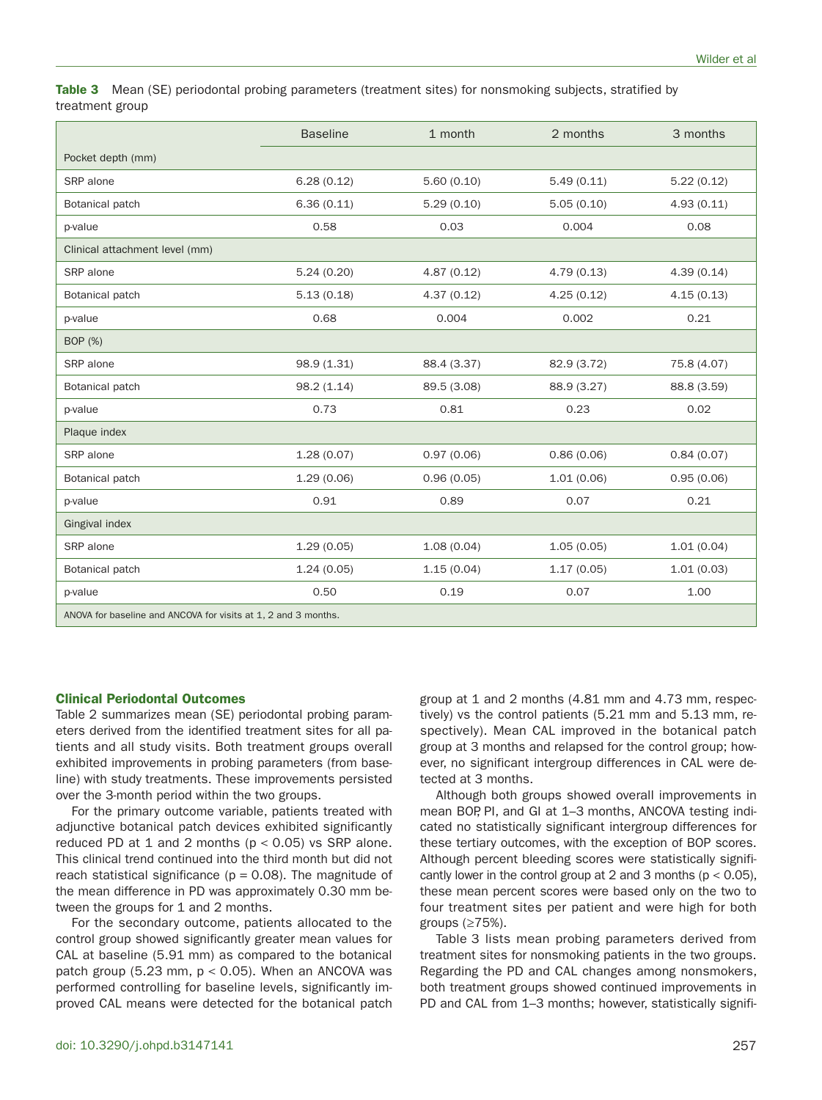**Table 3** Mean (SE) periodontal probing parameters (treatment sites) for nonsmoking subjects, stratified by treatment group

|                                                                | <b>Baseline</b> | 1 month     | 2 months    | 3 months    |
|----------------------------------------------------------------|-----------------|-------------|-------------|-------------|
| Pocket depth (mm)                                              |                 |             |             |             |
| SRP alone                                                      | 6.28(0.12)      | 5.60(0.10)  | 5.49(0.11)  | 5.22(0.12)  |
| Botanical patch                                                | 6.36(0.11)      | 5.29(0.10)  | 5.05(0.10)  | 4.93(0.11)  |
| p-value                                                        | 0.58            | 0.03        | 0.004       | 0.08        |
| Clinical attachment level (mm)                                 |                 |             |             |             |
| SRP alone                                                      | 5.24(0.20)      | 4.87(0.12)  | 4.79(0.13)  | 4.39(0.14)  |
| Botanical patch                                                | 5.13(0.18)      | 4.37(0.12)  | 4.25(0.12)  | 4.15(0.13)  |
| p-value                                                        | 0.68            | 0.004       | 0.002       | 0.21        |
| BOP (%)                                                        |                 |             |             |             |
| SRP alone                                                      | 98.9 (1.31)     | 88.4 (3.37) | 82.9 (3.72) | 75.8 (4.07) |
| Botanical patch                                                | 98.2(1.14)      | 89.5 (3.08) | 88.9 (3.27) | 88.8 (3.59) |
| p-value                                                        | 0.73            | 0.81        | 0.23        | 0.02        |
| Plaque index                                                   |                 |             |             |             |
| SRP alone                                                      | 1.28(0.07)      | 0.97(0.06)  | 0.86(0.06)  | 0.84(0.07)  |
| Botanical patch                                                | 1.29(0.06)      | 0.96(0.05)  | 1.01(0.06)  | 0.95(0.06)  |
| p-value                                                        | 0.91            | 0.89        | 0.07        | 0.21        |
| Gingival index                                                 |                 |             |             |             |
| SRP alone                                                      | 1.29(0.05)      | 1.08(0.04)  | 1.05(0.05)  | 1.01(0.04)  |
| Botanical patch                                                | 1.24(0.05)      | 1.15(0.04)  | 1.17(0.05)  | 1.01(0.03)  |
| p-value                                                        | 0.50            | 0.19        | 0.07        | 1.00        |
| ANOVA for baseline and ANCOVA for visits at 1, 2 and 3 months. |                 |             |             |             |

#### **Clinical Periodontal Outcomes**

Table 2 summarizes mean (SE) periodontal probing parameters derived from the identified treatment sites for all patients and all study visits. Both treatment groups overall exhibited improvements in probing parameters (from baseline) with study treatments. These improvements persisted over the 3-month period within the two groups.

For the primary outcome variable, patients treated with adjunctive botanical patch devices exhibited significantly reduced PD at 1 and 2 months ( $p < 0.05$ ) vs SRP alone. This clinical trend continued into the third month but did not reach statistical significance ( $p = 0.08$ ). The magnitude of the mean difference in PD was approximately 0.30 mm between the groups for 1 and 2 months.

For the secondary outcome, patients allocated to the control group showed significantly greater mean values for CAL at baseline (5.91 mm) as compared to the botanical patch group (5.23 mm,  $p < 0.05$ ). When an ANCOVA was performed controlling for baseline levels, significantly improved CAL means were detected for the botanical patch group at 1 and 2 months (4.81 mm and 4.73 mm, respectively) vs the control patients (5.21 mm and 5.13 mm, respectively). Mean CAL improved in the botanical patch group at 3 months and relapsed for the control group; however, no significant intergroup differences in CAL were detected at 3 months.

Although both groups showed overall improvements in mean BOP, PI, and GI at 1–3 months, ANCOVA testing indicated no statistically significant intergroup differences for these tertiary outcomes, with the exception of BOP scores. Although percent bleeding scores were statistically significantly lower in the control group at 2 and 3 months ( $p < 0.05$ ), these mean percent scores were based only on the two to four treatment sites per patient and were high for both groups (≥75%).

Table 3 lists mean probing parameters derived from treatment sites for nonsmoking patients in the two groups. Regarding the PD and CAL changes among nonsmokers, both treatment groups showed continued improvements in PD and CAL from 1–3 months; however, statistically signifi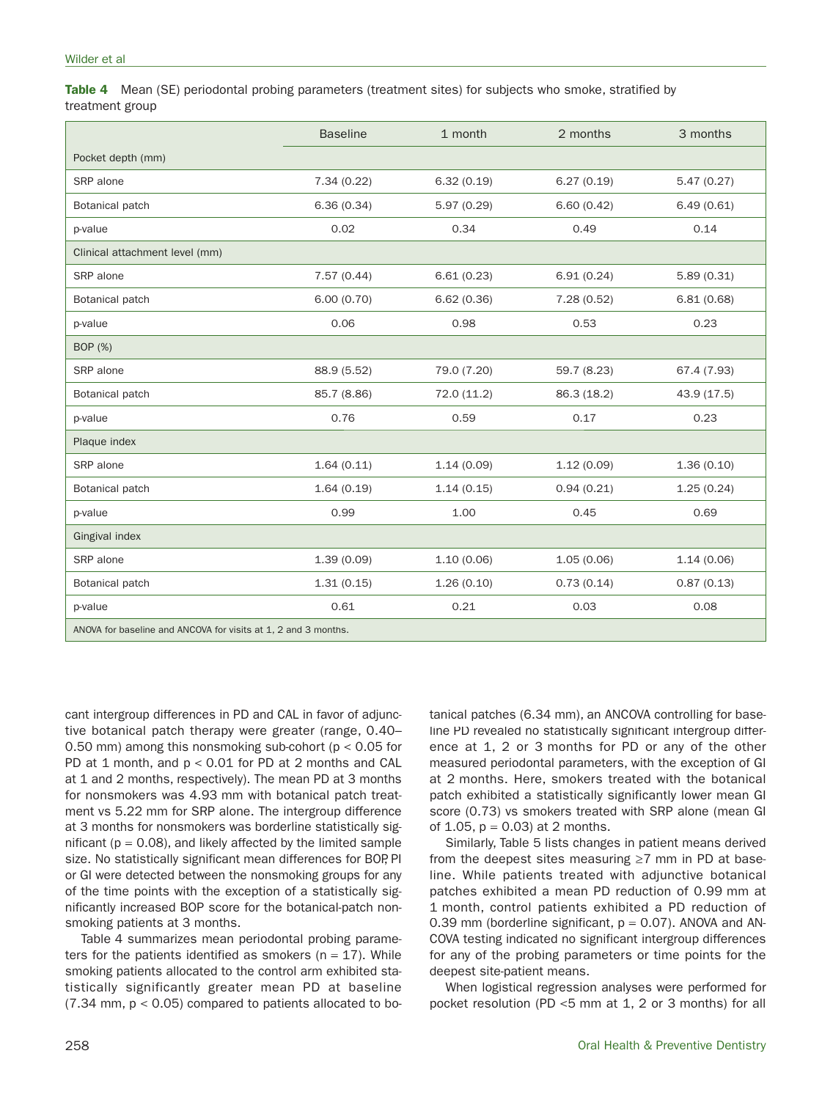**Table 4** Mean (SE) periodontal probing parameters (treatment sites) for subjects who smoke, stratified by treatment group

|                                                                | <b>Baseline</b> | 1 month     | 2 months    | 3 months    |
|----------------------------------------------------------------|-----------------|-------------|-------------|-------------|
| Pocket depth (mm)                                              |                 |             |             |             |
| SRP alone                                                      | 7.34(0.22)      | 6.32(0.19)  | 6.27(0.19)  | 5.47(0.27)  |
| Botanical patch                                                | 6.36(0.34)      | 5.97(0.29)  | 6.60(0.42)  | 6.49(0.61)  |
| p-value                                                        | 0.02            | 0.34        | 0.49        | 0.14        |
| Clinical attachment level (mm)                                 |                 |             |             |             |
| SRP alone                                                      | 7.57(0.44)      | 6.61(0.23)  | 6.91(0.24)  | 5.89(0.31)  |
| Botanical patch                                                | 6.00(0.70)      | 6.62(0.36)  | 7.28(0.52)  | 6.81(0.68)  |
| p-value                                                        | 0.06            | 0.98        | 0.53        | 0.23        |
| BOP (%)                                                        |                 |             |             |             |
| SRP alone                                                      | 88.9 (5.52)     | 79.0 (7.20) | 59.7 (8.23) | 67.4 (7.93) |
| Botanical patch                                                | 85.7 (8.86)     | 72.0 (11.2) | 86.3 (18.2) | 43.9 (17.5) |
| p-value                                                        | 0.76            | 0.59        | 0.17        | 0.23        |
| Plaque index                                                   |                 |             |             |             |
| SRP alone                                                      | 1.64(0.11)      | 1.14(0.09)  | 1.12(0.09)  | 1.36(0.10)  |
| Botanical patch                                                | 1.64(0.19)      | 1.14(0.15)  | 0.94(0.21)  | 1.25(0.24)  |
| p-value                                                        | 0.99            | 1.00        | 0.45        | 0.69        |
| Gingival index                                                 |                 |             |             |             |
| SRP alone                                                      | 1.39(0.09)      | 1.10(0.06)  | 1.05(0.06)  | 1.14(0.06)  |
| Botanical patch                                                | 1.31(0.15)      | 1.26(0.10)  | 0.73(0.14)  | 0.87(0.13)  |
| p-value                                                        | 0.61            | 0.21        | 0.03        | 0.08        |
| ANOVA for baseline and ANCOVA for visits at 1, 2 and 3 months. |                 |             |             |             |

cant intergroup differences in PD and CAL in favor of adjunctive botanical patch therapy were greater (range, 0.40– 0.50 mm) among this nonsmoking sub-cohort ( $p < 0.05$  for PD at 1 month, and p < 0.01 for PD at 2 months and CAL at 1 and 2 months, respectively). The mean PD at 3 months for nonsmokers was 4.93 mm with botanical patch treatment vs 5.22 mm for SRP alone. The intergroup difference at 3 months for nonsmokers was borderline statistically significant ( $p = 0.08$ ), and likely affected by the limited sample size. No statistically significant mean differences for BOP, PI or GI were detected between the nonsmoking groups for any of the time points with the exception of a statistically significantly increased BOP score for the botanical-patch nonsmoking patients at 3 months.

Table 4 summarizes mean periodontal probing parameters for the patients identified as smokers ( $n = 17$ ). While smoking patients allocated to the control arm exhibited statistically significantly greater mean PD at baseline  $(7.34 \text{ mm}, \text{p} < 0.05)$  compared to patients allocated to botanical patches (6.34 mm), an ANCOVA controlling for baseline PD revealed no statistically significant intergroup difference at 1, 2 or 3 months for PD or any of the other measured periodontal parameters, with the exception of GI at 2 months. Here, smokers treated with the botanical patch exhibited a statistically significantly lower mean GI score (0.73) vs smokers treated with SRP alone (mean GI of 1.05,  $p = 0.03$  at 2 months.

Similarly, Table 5 lists changes in patient means derived from the deepest sites measuring ≥7 mm in PD at baseline. While patients treated with adjunctive botanical patches exhibited a mean PD reduction of 0.99 mm at 1 month, control patients exhibited a PD reduction of 0.39 mm (borderline significant,  $p = 0.07$ ). ANOVA and AN-COVA testing indicated no significant intergroup differences for any of the probing parameters or time points for the deepest site-patient means.

When logistical regression analyses were performed for pocket resolution (PD <5 mm at 1, 2 or 3 months) for all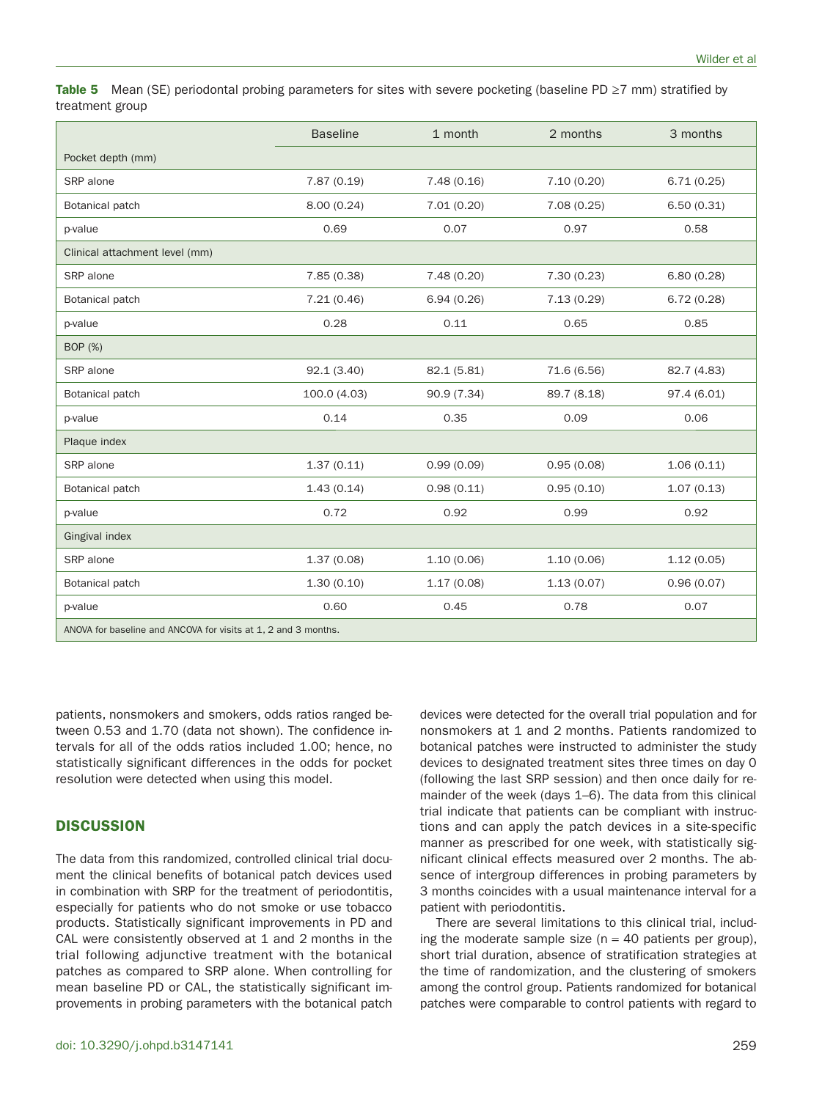**Table 5** Mean (SE) periodontal probing parameters for sites with severe pocketing (baseline PD ≥7 mm) stratified by treatment group

|                                                                | <b>Baseline</b> | 1 month     | 2 months    | 3 months    |
|----------------------------------------------------------------|-----------------|-------------|-------------|-------------|
| Pocket depth (mm)                                              |                 |             |             |             |
| SRP alone                                                      | 7.87(0.19)      | 7.48(0.16)  | 7.10(0.20)  | 6.71(0.25)  |
| Botanical patch                                                | 8.00(0.24)      | 7.01(0.20)  | 7.08(0.25)  | 6.50(0.31)  |
| p-value                                                        | 0.69            | 0.07        | 0.97        | 0.58        |
| Clinical attachment level (mm)                                 |                 |             |             |             |
| SRP alone                                                      | 7.85(0.38)      | 7.48(0.20)  | 7.30(0.23)  | 6.80(0.28)  |
| Botanical patch                                                | 7.21(0.46)      | 6.94(0.26)  | 7.13(0.29)  | 6.72(0.28)  |
| p-value                                                        | 0.28            | 0.11        | 0.65        | 0.85        |
| BOP (%)                                                        |                 |             |             |             |
| SRP alone                                                      | 92.1(3.40)      | 82.1 (5.81) | 71.6 (6.56) | 82.7 (4.83) |
| Botanical patch                                                | 100.0 (4.03)    | 90.9 (7.34) | 89.7 (8.18) | 97.4 (6.01) |
| p-value                                                        | 0.14            | 0.35        | 0.09        | 0.06        |
| Plaque index                                                   |                 |             |             |             |
| SRP alone                                                      | 1.37(0.11)      | 0.99(0.09)  | 0.95(0.08)  | 1.06(0.11)  |
| Botanical patch                                                | 1.43(0.14)      | 0.98(0.11)  | 0.95(0.10)  | 1.07(0.13)  |
| p-value                                                        | 0.72            | 0.92        | 0.99        | 0.92        |
| Gingival index                                                 |                 |             |             |             |
| SRP alone                                                      | 1.37(0.08)      | 1.10(0.06)  | 1.10(0.06)  | 1.12(0.05)  |
| Botanical patch                                                | 1.30(0.10)      | 1.17(0.08)  | 1.13(0.07)  | 0.96(0.07)  |
| p-value                                                        | 0.60            | 0.45        | 0.78        | 0.07        |
| ANOVA for baseline and ANCOVA for visits at 1, 2 and 3 months. |                 |             |             |             |

patients, nonsmokers and smokers, odds ratios ranged between 0.53 and 1.70 (data not shown). The confidence intervals for all of the odds ratios included 1.00; hence, no statistically significant differences in the odds for pocket resolution were detected when using this model.

# **DISCUSSION**

The data from this randomized, controlled clinical trial document the clinical benefits of botanical patch devices used in combination with SRP for the treatment of periodontitis, especially for patients who do not smoke or use tobacco products. Statistically significant improvements in PD and CAL were consistently observed at 1 and 2 months in the trial following adjunctive treatment with the botanical patches as compared to SRP alone. When controlling for mean baseline PD or CAL, the statistically significant improvements in probing parameters with the botanical patch devices were detected for the overall trial population and for nonsmokers at 1 and 2 months. Patients randomized to botanical patches were instructed to administer the study devices to designated treatment sites three times on day 0 (following the last SRP session) and then once daily for remainder of the week (days 1–6). The data from this clinical trial indicate that patients can be compliant with instructions and can apply the patch devices in a site-specific manner as prescribed for one week, with statistically significant clinical effects measured over 2 months. The absence of intergroup differences in probing parameters by 3 months coincides with a usual maintenance interval for a patient with periodontitis.

There are several limitations to this clinical trial, including the moderate sample size ( $n = 40$  patients per group), short trial duration, absence of stratification strategies at the time of randomization, and the clustering of smokers among the control group. Patients randomized for botanical patches were comparable to control patients with regard to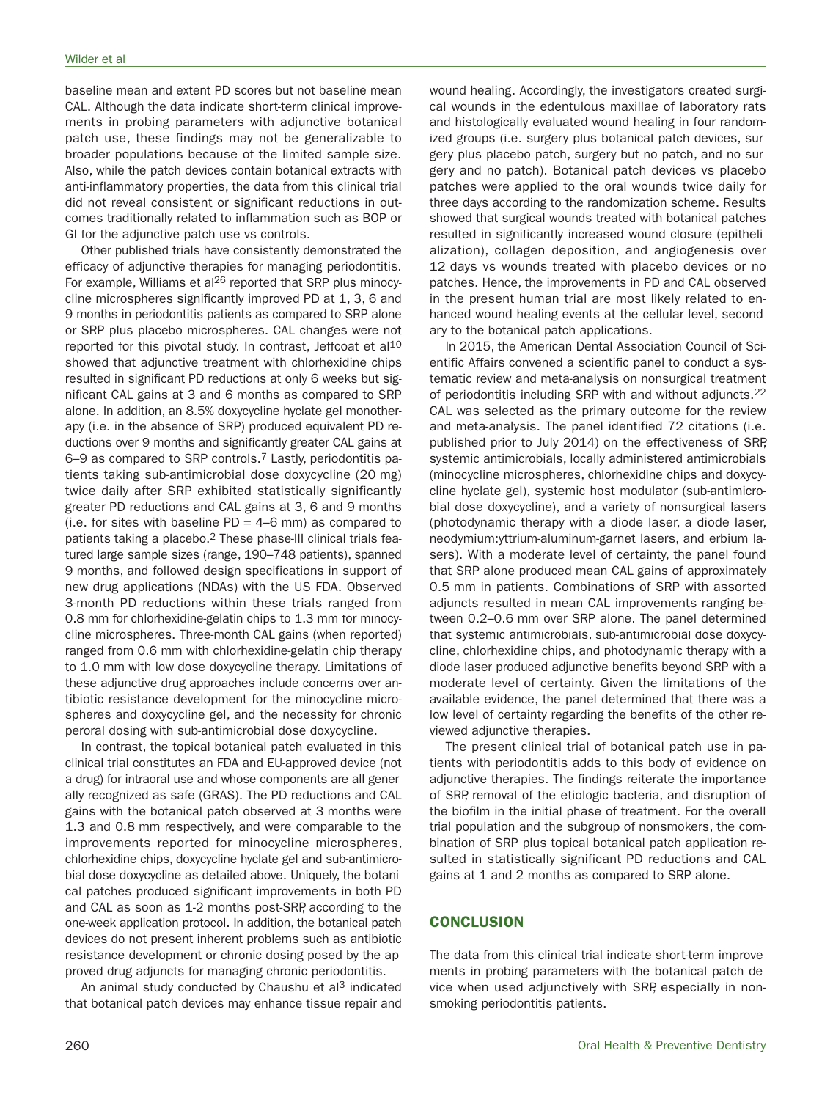baseline mean and extent PD scores but not baseline mean CAL. Although the data indicate short-term clinical improvements in probing parameters with adjunctive botanical patch use, these findings may not be generalizable to broader populations because of the limited sample size. Also, while the patch devices contain botanical extracts with anti-inflammatory properties, the data from this clinical trial did not reveal consistent or significant reductions in outcomes traditionally related to inflammation such as BOP or GI for the adjunctive patch use vs controls.

Other published trials have consistently demonstrated the efficacy of adjunctive therapies for managing periodontitis. For example, Williams et al<sup>26</sup> reported that SRP plus minocycline microspheres significantly improved PD at 1, 3, 6 and 9 months in periodontitis patients as compared to SRP alone or SRP plus placebo microspheres. CAL changes were not reported for this pivotal study. In contrast, Jeffcoat et al<sup>10</sup> showed that adjunctive treatment with chlorhexidine chips resulted in significant PD reductions at only 6 weeks but significant CAL gains at 3 and 6 months as compared to SRP alone. In addition, an 8.5% doxycycline hyclate gel monotherapy (i.e. in the absence of SRP) produced equivalent PD reductions over 9 months and significantly greater CAL gains at 6–9 as compared to SRP controls.7 Lastly, periodontitis patients taking sub-antimicrobial dose doxycycline (20 mg) twice daily after SRP exhibited statistically significantly greater PD reductions and CAL gains at 3, 6 and 9 months  $(i.e.$  for sites with baseline PD = 4–6 mm) as compared to patients taking a placebo.2 These phase-III clinical trials featured large sample sizes (range, 190–748 patients), spanned 9 months, and followed design specifications in support of new drug applications (NDAs) with the US FDA. Observed 3-month PD reductions within these trials ranged from 0.8 mm for chlorhexidine-gelatin chips to 1.3 mm for minocycline microspheres. Three-month CAL gains (when reported) ranged from 0.6 mm with chlorhexidine-gelatin chip therapy to 1.0 mm with low dose doxycycline therapy. Limitations of these adjunctive drug approaches include concerns over antibiotic resistance development for the minocycline microspheres and doxycycline gel, and the necessity for chronic peroral dosing with sub-antimicrobial dose doxycycline.

In contrast, the topical botanical patch evaluated in this clinical trial constitutes an FDA and EU-approved device (not a drug) for intraoral use and whose components are all generally recognized as safe (GRAS). The PD reductions and CAL gains with the botanical patch observed at 3 months were 1.3 and 0.8 mm respectively, and were comparable to the improvements reported for minocycline microspheres, chlorhexidine chips, doxycycline hyclate gel and sub-antimicrobial dose doxycycline as detailed above. Uniquely, the botanical patches produced significant improvements in both PD and CAL as soon as 1-2 months post-SRP, according to the one-week application protocol. In addition, the botanical patch devices do not present inherent problems such as antibiotic resistance development or chronic dosing posed by the approved drug adjuncts for managing chronic periodontitis.

An animal study conducted by Chaushu et al<sup>3</sup> indicated that botanical patch devices may enhance tissue repair and wound healing. Accordingly, the investigators created surgical wounds in the edentulous maxillae of laboratory rats and histologically evaluated wound healing in four randomized groups (i.e. surgery plus botanical patch devices, surgery plus placebo patch, surgery but no patch, and no surgery and no patch). Botanical patch devices vs placebo patches were applied to the oral wounds twice daily for three days according to the randomization scheme. Results showed that surgical wounds treated with botanical patches resulted in significantly increased wound closure (epithelialization), collagen deposition, and angiogenesis over 12 days vs wounds treated with placebo devices or no patches. Hence, the improvements in PD and CAL observed in the present human trial are most likely related to enhanced wound healing events at the cellular level, secondary to the botanical patch applications.

In 2015, the American Dental Association Council of Scientific Affairs convened a scientific panel to conduct a systematic review and meta-analysis on nonsurgical treatment of periodontitis including SRP with and without adjuncts.22 CAL was selected as the primary outcome for the review and meta-analysis. The panel identified 72 citations (i.e. published prior to July 2014) on the effectiveness of SRP, systemic antimicrobials, locally administered antimicrobials (minocycline microspheres, chlorhexidine chips and doxycycline hyclate gel), systemic host modulator (sub-antimicrobial dose doxycycline), and a variety of nonsurgical lasers (photodynamic therapy with a diode laser, a diode laser, neodymium:yttrium-aluminum-garnet lasers, and erbium lasers). With a moderate level of certainty, the panel found that SRP alone produced mean CAL gains of approximately 0.5 mm in patients. Combinations of SRP with assorted adjuncts resulted in mean CAL improvements ranging between 0.2–0.6 mm over SRP alone. The panel determined that systemic antimicrobials, sub-antimicrobial dose doxycycline, chlorhexidine chips, and photodynamic therapy with a diode laser produced adjunctive benefits beyond SRP with a moderate level of certainty. Given the limitations of the available evidence, the panel determined that there was a low level of certainty regarding the benefits of the other reviewed adjunctive therapies.

The present clinical trial of botanical patch use in patients with periodontitis adds to this body of evidence on adjunctive therapies. The findings reiterate the importance of SRP, removal of the etiologic bacteria, and disruption of the biofilm in the initial phase of treatment. For the overall trial population and the subgroup of nonsmokers, the combination of SRP plus topical botanical patch application resulted in statistically significant PD reductions and CAL gains at 1 and 2 months as compared to SRP alone.

## **CONCLUSION**

The data from this clinical trial indicate short-term improvements in probing parameters with the botanical patch device when used adjunctively with SRP, especially in nonsmoking periodontitis patients.